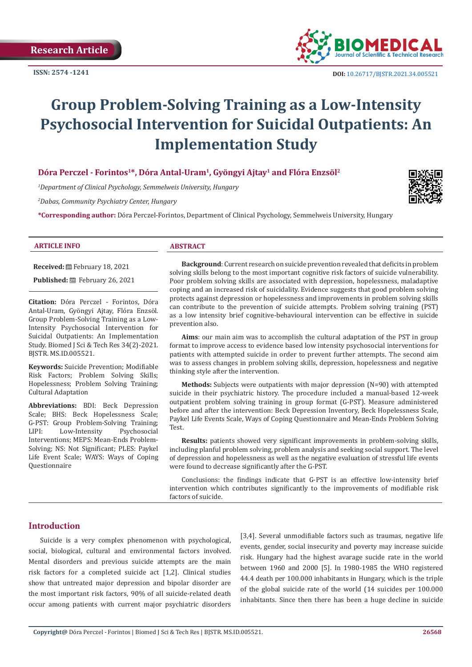**Research Article** 

**ISSN: 2574 -1241**



 **DOI:** [10.26717/BJSTR.2021.34.0055](http://dx.doi.org/10.26717/BJSTR.2021.34.005521)21

# **Group Problem-Solving Training as a Low-Intensity Psychosocial Intervention for Suicidal Outpatients: An Implementation Study**

# **Dóra Perczel - Forintos1\*, Dóra Antal-Uram1, Gyöngyi Ajtay1 and Flóra Enzsöl2**

*1 Department of Clinical Psychology, Semmelweis University, Hungary*

*2 Dabas, Community Psychiatry Center, Hungary*

**\*Corresponding author:** Dóra Perczel-Forintos, Department of Clinical Psychology, Semmelweis University, Hungary



### **ARTICLE INFO ABSTRACT**

**Received:** February 18, 2021

Published: **■**February 26, 2021

**Citation:** Dóra Perczel - Forintos, Dóra Antal-Uram, Gyöngyi Ajtay, Flóra Enzsöl. Group Problem-Solving Training as a Low-Intensity Psychosocial Intervention for Suicidal Outpatients: An Implementation Study. Biomed J Sci & Tech Res 34(2)-2021. BJSTR. MS.ID.005521.

**Keywords:** Suicide Prevention; Modifiable Risk Factors; Problem Solving Skills; Hopelessness; Problem Solving Training; Cultural Adaptation

**Abbreviations:** BDI: Beck Depression Scale; BHS: Beck Hopelessness Scale; G-PST: Group Problem-Solving Training;<br>LIPI: Low-Intensity Psychosocial Low-Intensity Interventions; MEPS: Mean-Ends Problem-Solving; NS: Not Significant; PLES: Paykel Life Event Scale; WAYS: Ways of Coping Questionnaire

**Background**: Current research on suicide prevention revealed that deficits in problem solving skills belong to the most important cognitive risk factors of suicide vulnerability. Poor problem solving skills are associated with depression, hopelessness, maladaptive coping and an increased risk of suicidality. Evidence suggests that good problem solving protects against depression or hopelessness and improvements in problem solving skills can contribute to the prevention of suicide attempts. Problem solving training (PST) as a low intensity brief cognitive-behavioural intervention can be effective in suicide prevention also.

**Aims**: our main aim was to accomplish the cultural adaptation of the PST in group format to improve access to evidence based low intensity psychosocial interventions for patients with attempted suicide in order to prevent further attempts. The second aim was to assess changes in problem solving skills, depression, hopelessness and negative thinking style after the intervention.

**Methods:** Subjects were outpatients with major depression (N=90) with attempted suicide in their psychiatric history. The procedure included a manual-based 12-week outpatient problem solving training in group format (G-PST). Measure administered before and after the intervention: Beck Depression Inventory, Beck Hopelessness Scale, Paykel Life Events Scale, Ways of Coping Questionnaire and Mean-Ends Problem Solving Test.

**Results:** patients showed very significant improvements in problem-solving skills, including planful problem solving, problem analysis and seeking social support. The level of depression and hopelessness as well as the negative evaluation of stressful life events were found to decrease significantly after the G-PST.

Conclusions: the findings indicate that G-PST is an effective low-intensity brief intervention which contributes significantly to the improvements of modifiable risk factors of suicide.

# **Introduction**

Suicide is a very complex phenomenon with psychological, social, biological, cultural and environmental factors involved. Mental disorders and previous suicide attempts are the main risk factors for a completed suicide act [1,2]. Clinical studies show that untreated major depression and bipolar disorder are the most important risk factors, 90% of all suicide-related death occur among patients with current major psychiatric disorders

[3,4]. Several unmodifiable factors such as traumas, negative life events, gender, social insecurity and poverty may increase suicide risk. Hungary had the highest avarage sucide rate in the world between 1960 and 2000 [5]. In 1980-1985 the WHO registered 44.4 death per 100.000 inhabitants in Hungary, which is the triple of the global suicide rate of the world (14 suicides per 100.000 inhabitants. Since then there has been a huge decline in suicide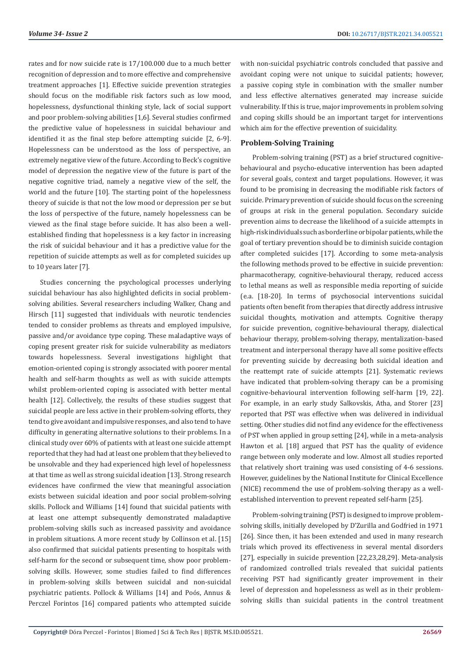rates and for now suicide rate is 17/100.000 due to a much better recognition of depression and to more effective and comprehensive treatment approaches [1]. Effective suicide prevention strategies should focus on the modifiable risk factors such as low mood, hopelessness, dysfunctional thinking style, lack of social support and poor problem-solving abilities [1,6]. Several studies confirmed the predictive value of hopelessness in suicidal behaviour and identified it as the final step before attempting suicide [2, 6-9]. Hopelessness can be understood as the loss of perspective, an extremely negative view of the future. According to Beck's cognitive model of depression the negative view of the future is part of the negative cognitive triad, namely a negative view of the self, the world and the future [10]. The starting point of the hopelessness theory of suicide is that not the low mood or depression per se but the loss of perspective of the future, namely hopelessness can be viewed as the final stage before suicide. It has also been a wellestablished finding that hopelessness is a key factor in increasing the risk of suicidal behaviour and it has a predictive value for the repetition of suicide attempts as well as for completed suicides up to 10 years later [7].

Studies concerning the psychological processes underlying suicidal behaviour has also highlighted deficits in social problemsolving abilities. Several researchers including Walker, Chang and Hirsch [11] suggested that individuals with neurotic tendencies tended to consider problems as threats and employed impulsive, passive and/or avoidance type coping. These maladaptive ways of coping present greater risk for suicide vulnerability as mediators towards hopelessness. Several investigations highlight that emotion-oriented coping is strongly associated with poorer mental health and self-harm thoughts as well as with suicide attempts whilst problem-oriented coping is associated with better mental health [12]. Collectively, the results of these studies suggest that suicidal people are less active in their problem-solving efforts, they tend to give avoidant and impulsive responses, and also tend to have difficulty in generating alternative solutions to their problems. In a clinical study over 60% of patients with at least one suicide attempt reported that they had had at least one problem that they believed to be unsolvable and they had experienced high level of hopelessness at that time as well as strong suicidal ideation [13]. Strong research evidences have confirmed the view that meaningful association exists between suicidal ideation and poor social problem-solving skills. Pollock and Williams [14] found that suicidal patients with at least one attempt subsequently demonstrated maladaptive problem-solving skills such as increased passivity and avoidance in problem situations. A more recent study by Collinson et al. [15] also confirmed that suicidal patients presenting to hospitals with self-harm for the second or subsequent time, show poor problemsolving skills. However, some studies failed to find differences in problem-solving skills between suicidal and non-suicidal psychiatric patients. Pollock & Williams [14] and Poós, Annus & Perczel Forintos [16] compared patients who attempted suicide

with non-suicidal psychiatric controls concluded that passive and avoidant coping were not unique to suicidal patients; however, a passive coping style in combination with the smaller number and less effective alternatives generated may increase suicide vulnerability. If this is true, major improvements in problem solving and coping skills should be an important target for interventions which aim for the effective prevention of suicidality.

# **Problem-Solving Training**

Problem-solving training (PST) as a brief structured cognitivebehavioural and psycho-educative intervention has been adapted for several goals, context and target populations. However, it was found to be promising in decreasing the modifiable risk factors of suicide. Primary prevention of suicide should focus on the screening of groups at risk in the general population. Secondary suicide prevention aims to decrease the likelihood of a suicide attempts in high-risk individuals such as borderline or bipolar patients, while the goal of tertiary prevention should be to diminish suicide contagion after completed suicides [17]. According to some meta-analysis the following methods proved to be effective in suicide prevention: pharmacotherapy, cognitive-behavioural therapy, reduced access to lethal means as well as responsible media reporting of suicide (e.a. [18-20]. In terms of psychosocial interventions suicidal patients often benefit from therapies that directly address intrusive suicidal thoughts, motivation and attempts. Cognitive therapy for suicide prevention, cognitive-behavioural therapy, dialectical behaviour therapy, problem-solving therapy, mentalization-based treatment and interpersonal therapy have all some positive effects for preventing suicide by decreasing both suicidal ideation and the reattempt rate of suicide attempts [21]. Systematic reviews have indicated that problem-solving therapy can be a promising cognitive-behavioural intervention following self-harm [19, 22]. For example, in an early study Salkovskis, Atha, and Storer [23] reported that PST was effective when was delivered in individual setting. Other studies did not find any evidence for the effectiveness of PST when applied in group setting [24], while in a meta-analysis Hawton et al. [18] argued that PST has the quality of evidence range between only moderate and low. Almost all studies reported that relatively short training was used consisting of 4-6 sessions. However, guidelines by the National Institute for Clinical Excellence (NICE) recommend the use of problem-solving therapy as a wellestablished intervention to prevent repeated self-harm [25].

Problem-solving training (PST) is designed to improve problemsolving skills, initially developed by D'Zurilla and Godfried in 1971 [26]. Since then, it has been extended and used in many research trials which proved its effectiveness in several mental disorders [27], especially in suicide prevention [22,23,28,29]. Meta-analysis of randomized controlled trials revealed that suicidal patients receiving PST had significantly greater improvement in their level of depression and hopelessness as well as in their problemsolving skills than suicidal patients in the control treatment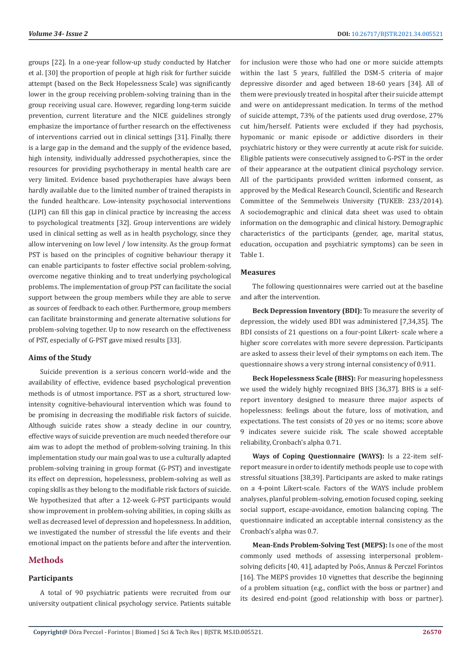groups [22]. In a one-year follow-up study conducted by Hatcher et al. [30] the proportion of people at high risk for further suicide attempt (based on the Beck Hopelessness Scale) was significantly lower in the group receiving problem-solving training than in the group receiving usual care. However, regarding long-term suicide prevention, current literature and the NICE guidelines strongly emphasize the importance of further research on the effectiveness of interventions carried out in clinical settings [31]. Finally, there is a large gap in the demand and the supply of the evidence based, high intensity, individually addressed psychotherapies, since the resources for providing psychotherapy in mental health care are very limited. Evidence based psychotherapies have always been hardly available due to the limited number of trained therapists in the funded healthcare. Low-intensity psychosocial interventions (LIPI) can fill this gap in clinical practice by increasing the access to psychological treatments [32]. Group interventions are widely used in clinical setting as well as in health psychology, since they allow intervening on low level / low intensity. As the group format PST is based on the principles of cognitive behaviour therapy it can enable participants to foster effective social problem-solving, overcome negative thinking and to treat underlying psychological problems. The implementation of group PST can facilitate the social support between the group members while they are able to serve as sources of feedback to each other. Furthermore, group members can facilitate brainstorming and generate alternative solutions for problem-solving together. Up to now research on the effectiveness of PST, especially of G-PST gave mixed results [33].

#### **Aims of the Study**

Suicide prevention is a serious concern world-wide and the availability of effective, evidence based psychological prevention methods is of utmost importance. PST as a short, structured lowintensity cognitive-behavioural intervention which was found to be promising in decreasing the modifiable risk factors of suicide. Although suicide rates show a steady decline in our country, effective ways of suicide prevention are much needed therefore our aim was to adopt the method of problem-solving training. In this implementation study our main goal was to use a culturally adapted problem-solving training in group format (G-PST) and investigate its effect on depression, hopelessness, problem-solving as well as coping skills as they belong to the modifiable risk factors of suicide. We hypothesized that after a 12-week G-PST participants would show improvement in problem-solving abilities, in coping skills as well as decreased level of depression and hopelessness. In addition, we investigated the number of stressful the life events and their emotional impact on the patients before and after the intervention.

# **Methods**

# **Participants**

A total of 90 psychiatric patients were recruited from our university outpatient clinical psychology service. Patients suitable

for inclusion were those who had one or more suicide attempts within the last 5 years, fulfilled the DSM-5 criteria of major depressive disorder and aged between 18-60 years [34]. All of them were previously treated in hospital after their suicide attempt and were on antidepressant medication. In terms of the method of suicide attempt, 73% of the patients used drug overdose, 27% cut him/herself. Patients were excluded if they had psychosis, hypomanic or manic episode or addictive disorders in their psychiatric history or they were currently at acute risk for suicide. Eligible patients were consecutively assigned to G-PST in the order of their appearance at the outpatient clinical psychology service. All of the participants provided written informed consent, as approved by the Medical Research Council, Scientific and Research Committee of the Semmelweis University (TUKEB: 233/2014). A sociodemographic and clinical data sheet was used to obtain information on the demographic and clinical history. Demographic characteristics of the participants (gender, age, marital status, education, occupation and psychiatric symptoms) can be seen in Table 1.

#### **Measures**

The following questionnaires were carried out at the baseline and after the intervention.

**Beck Depression Inventory (BDI):** To measure the severity of depression, the widely used BDI was administered [7,34,35]. The BDI consists of 21 questions on a four-point Likert- scale where a higher score correlates with more severe depression. Participants are asked to assess their level of their symptoms on each item. The questionnaire shows a very strong internal consistency of 0.911.

**Beck Hopelessness Scale (BHS):** For measuring hopelessness we used the widely highly recognized BHS [36,37]. BHS is a selfreport inventory designed to measure three major aspects of hopelessness: feelings about the future, loss of motivation, and expectations. The test consists of 20 yes or no items; score above 9 indicates severe suicide risk. The scale showed acceptable reliability, Cronbach's alpha 0.71.

**Ways of Coping Questionnaire (WAYS):** Is a 22-item selfreport measure in order to identify methods people use to cope with stressful situations [38,39]. Participants are asked to make ratings on a 4-point Likert-scale. Factors of the WAYS include problem analyses, planful problem-solving, emotion focused coping, seeking social support, escape-avoidance, emotion balancing coping. The questionnaire indicated an acceptable internal consistency as the Cronbach's alpha was 0.7.

**Mean-Ends Problem-Solving Test (MEPS):** Is one of the most commonly used methods of assessing interpersonal problemsolving deficits [40, 41], adapted by Poós, Annus & Perczel Forintos [16]. The MEPS provides 10 vignettes that describe the beginning of a problem situation (e.g., conflict with the boss or partner) and its desired end-point (good relationship with boss or partner).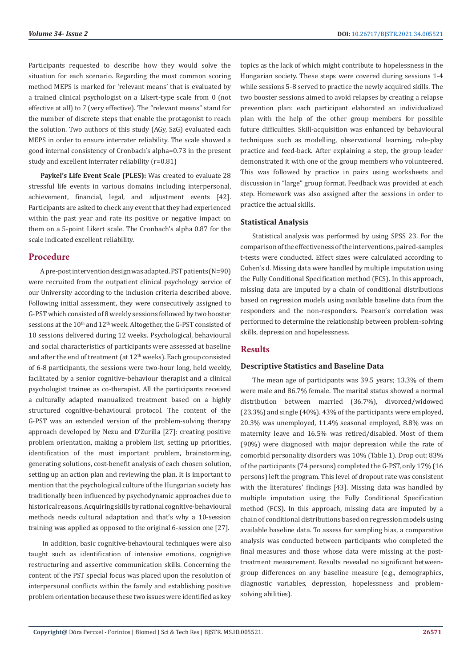Participants requested to describe how they would solve the situation for each scenario. Regarding the most common scoring method MEPS is marked for 'relevant means' that is evaluated by a trained clinical psychologist on a Likert-type scale from 0 (not effective at all) to 7 (very effective). The "relevant means" stand for the number of discrete steps that enable the protagonist to reach the solution. Two authors of this study (AGy, SzG) evaluated each MEPS in order to ensure interrater reliability. The scale showed a good internal consistency of Cronbach's alpha=0.73 in the present study and excellent interrater reliability (r=0.81)

**Paykel's Life Event Scale (PLES):** Was created to evaluate 28 stressful life events in various domains including interpersonal, achievement, financial, legal, and adjustment events [42]. Participants are asked to check any event that they had experienced within the past year and rate its positive or negative impact on them on a 5-point Likert scale. The Cronbach's alpha 0.87 for the scale indicated excellent reliability.

# **Procedure**

A pre-post intervention design was adapted. PST patients (N=90) were recruited from the outpatient clinical psychology service of our University according to the inclusion criteria described above. Following initial assessment, they were consecutively assigned to G-PST which consisted of 8 weekly sessions followed by two booster sessions at the  $10^{th}$  and  $12^{th}$  week. Altogether, the G-PST consisted of 10 sessions delivered during 12 weeks. Psychological, behavioural and social characteristics of participants were assessed at baseline and after the end of treatment (at  $12<sup>th</sup>$  weeks). Each group consisted of 6-8 participants, the sessions were two-hour long, held weekly, facilitated by a senior cognitive-behaviour therapist and a clinical psychologist trainee as co-therapist. All the participants received a culturally adapted manualized treatment based on a highly structured cognitive-behavioural protocol. The content of the G-PST was an extended version of the problem-solving therapy approach developed by Nezu and D'Zurilla [27]: creating positive problem orientation, making a problem list, setting up priorities, identification of the most important problem, brainstorming, generating solutions, cost-benefit analysis of each chosen solution, setting up an action plan and reviewing the plan. It is important to mention that the psychological culture of the Hungarian society has traditionally been influenced by psychodynamic approaches due to historical reasons. Acquiring skills by rational cognitive-behavioural methods needs cultural adaptation and that's why a 10-session training was applied as opposed to the original 6-session one [27].

 In addition, basic cognitive-behavioural techniques were also taught such as identification of intensive emotions, cognigtive restructuring and assertive communication skills. Concerning the content of the PST special focus was placed upon the resolution of interpersonal conflicts within the family and establishing positive problem orientation because these two issues were identified as key

topics as the lack of which might contribute to hopelessness in the Hungarian society. These steps were covered during sessions 1-4 while sessions 5-8 served to practice the newly acquired skills. The two booster sessions aimed to avoid relapses by creating a relapse prevention plan: each participant elaborated an individualized plan with the help of the other group members for possible future difficulties. Skill-acquisition was enhanced by behavioural techniques such as modelling, observational learning, role-play practice and feed-back. After explaining a step, the group leader demonstrated it with one of the group members who volunteered. This was followed by practice in pairs using worksheets and discussion in "large" group format. Feedback was provided at each step. Homework was also assigned after the sessions in order to practice the actual skills.

# **Statistical Analysis**

Statistical analysis was performed by using SPSS 23. For the comparison of the effectiveness of the interventions, paired-samples t-tests were conducted. Effect sizes were calculated according to Cohen's d. Missing data were handled by multiple imputation using the Fully Conditional Specification method (FCS). In this approach, missing data are imputed by a chain of conditional distributions based on regression models using available baseline data from the responders and the non-responders. Pearson's correlation was performed to determine the relationship between problem-solving skills, depression and hopelessness.

# **Results**

# **Descriptive Statistics and Baseline Data**

The mean age of participants was 39.5 years; 13.3% of them were male and 86.7% female. The marital status showed a normal distribution between married (36.7%), divorced/widowed (23.3%) and single (40%). 43% of the participants were employed, 20.3% was unemployed, 11.4% seasonal employed, 8.8% was on maternity leave and 16.5% was retired/disabled. Most of them (90%) were diagnosed with major depression while the rate of comorbid personality disorders was 10% (Table 1). Drop out: 83% of the participants (74 persons) completed the G-PST, only 17% (16 persons) left the program. This level of dropout rate was consistent with the literatures' findings [43]. Missing data was handled by multiple imputation using the Fully Conditional Specification method (FCS). In this approach, missing data are imputed by a chain of conditional distributions based on regression models using available baseline data. To assess for sampling bias, a comparative analysis was conducted between participants who completed the final measures and those whose data were missing at the posttreatment measurement. Results revealed no significant betweengroup differences on any baseline measure (e.g., demographics, diagnostic variables, depression, hopelessness and problemsolving abilities).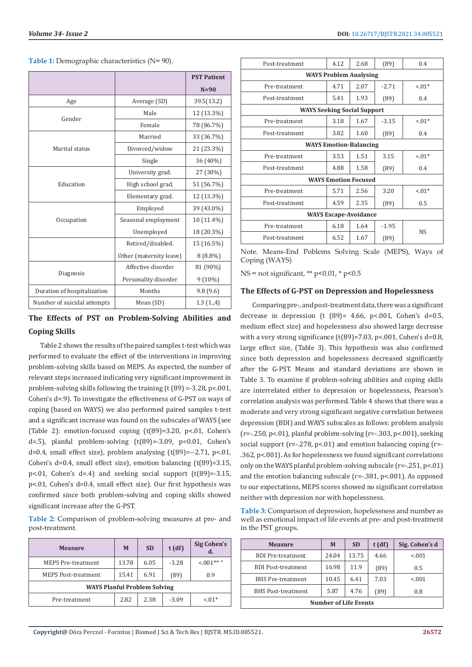Table 1: Demographic characteristics (N= 90).

|                             |                         | <b>PST Patient</b> |
|-----------------------------|-------------------------|--------------------|
|                             |                         | $N=90$             |
| Age                         | Average (SD)            | 39.5(13.2)         |
| Gender                      | Male                    | 12 (13.3%)         |
|                             | Female                  | 78 (86.7%)         |
|                             | Married                 | 33 (36.7%)         |
| Marital status              | Divorced/widow          | 21 (23.3%)         |
|                             | Single                  | 36 (40%)           |
| Education                   | University grad.        | 27 (30%)           |
|                             | High school grad.       | 51 (56.7%)         |
|                             | Elementary grad.        | 12 (13.3%)         |
|                             | Employed                | 39 (43.0%)         |
| Occupation                  | Seasonal employment     | 10 (11.4%)         |
|                             | Unemployed              | 18 (20.3%)         |
|                             | Retired/disabled.       | 15 (16.5%)         |
|                             | Other (maternity leave) | $8(8.8\%)$         |
| Diagnosis                   | Affective disorder      | 81 (90%)           |
|                             | Personality disorder    | $9(10\%)$          |
| Duration of hospitalization | Months                  | 9.8(9.6)           |
| Number of suicidal attempts | Mean (SD)               | 1.3(1.,4)          |

# **The Effects of PST on Problem-Solving Abilities and Coping Skills**

Table 2 shows the results of the paired samples t-test which was performed to evaluate the effect of the interventions in improving problem-solving skills based on MEPS. As expected, the number of relevant steps increased indicating very significant improvement in problem-solving skills following the training (t (89) =-3.28, p<.001, Cohen's d=.9). To investigate the effectiveness of G-PST on ways of coping (based on WAYS) we also performed paired samples t-test and a significant increase was found on the subscales of WAYS (see (Table 2): emotion-focused coping (t(89)=3.20, p<.01, Cohen's d=.5), planful problem-solving  $(t(89)=-3.09, p<0.01,$  Cohen's d=0.4, small effect size), problem analysing  $(t(89)=-2.71, p<.01,$ Cohen's d=0.4, small effect size), emotion balancing (t(89)=3.15, p<.01, Cohen's  $d=4$ ) and seeking social support  $(t(89)=3.15$ , p<.01, Cohen's d=0.4, small effect size). Our first hypothesis was confirmed since both problem-solving and coping skills showed significant increase after the G-PST.

**Table 2:** Comparison of problem-solving measures at pre- and post-treatment.

| <b>Measure</b>                      | M     | <b>SD</b> | t(df)   | <b>Sig Cohen's</b> |
|-------------------------------------|-------|-----------|---------|--------------------|
| <b>MEPS Pre-treatment</b>           | 13.78 | 6.05      | $-3.28$ | $< 001**$ "        |
| <b>MEPS Post-treatment</b>          | 15.41 | 6.91      | (89)    | 0.9                |
| <b>WAYS Planful Problem Solving</b> |       |           |         |                    |
| Pre-treatment                       | 2.82  | 2.38      | $-3.09$ | $-.01*$            |

| Post-treatment                     | 4.12 | 2.68 | (89)    | 0.4       |  |
|------------------------------------|------|------|---------|-----------|--|
| <b>WAYS Problem Analysing</b>      |      |      |         |           |  |
| Pre-treatment                      | 4.71 | 2.07 | $-2.71$ | $-.01*$   |  |
| Post-treatment                     | 5.41 | 1.93 | (89)    | 0.4       |  |
| <b>WAYS Seeking Social Support</b> |      |      |         |           |  |
| Pre-treatment                      | 3.18 | 1.67 | $-3.15$ | $-.01*$   |  |
| Post-treatment                     | 3.82 | 1.60 | (89)    | 0.4       |  |
| <b>WAYS Emotion-Balancing</b>      |      |      |         |           |  |
| Pre-treatment                      | 3.53 | 1.51 | 3.15    | $-.01*$   |  |
| Post-treatment                     | 4.88 | 1.58 | (89)    | 0.4       |  |
| <b>WAYS Emotion Focused</b>        |      |      |         |           |  |
| Pre-treatment                      | 5.71 | 2.56 | 3.20    | $-.01*$   |  |
| Post-treatment                     | 4.59 | 2.35 | (89)    | 0.5       |  |
| <b>WAYS Escape-Avoidance</b>       |      |      |         |           |  |
| Pre-treatment                      | 6.18 | 1.64 | $-1.95$ |           |  |
| Post-treatment                     | 6.52 | 1.67 | (89)    | <b>NS</b> |  |

Note. Means-End Poblems Solving Scale (MEPS), Ways of Coping (WAYS)

 $NS = not significant, ** p<0.01, * p<0.5$ 

#### **The Effects of G-PST on Depression and Hopelessness**

Comparing pre-, and post-treatment data, there was a significant decrease in depression (t  $(89)$ = 4.66, p<.001, Cohen's d=0.5, medium effect size) and hopelessness also showed large decrease with a very strong significance  $(t(89)=7.03, p<.001,$  Cohen's d=0.8, large effect size, (Table 3). This hypothesis was also confirmed since both depression and hopelessness decreased significantly after the G-PST. Means and standard deviations are shown in Table 3. To examine if problem-solving abilities and coping skills are interrelated either to depression or hopelessness, Pearson's correlation analysis was performed. Table 4 shows that there was a moderate and very strong significant negative correlation between depression (BDI) and WAYS subscales as follows: problem analysis  $(r=-.250, p<.01)$ , planful problem-solving  $(r=-.303, p<.001)$ , seeking social support ( $r=-278$ ,  $p<.01$ ) and emotion balancing coping ( $r=$ .362, p<.001). As for hopelessness we found significant correlations only on the WAYS planful problem-solving subscale (r=-.251, p<.01) and the emotion balancing subscale (r=-.381, p<.001). As opposed to our expectations, MEPS scores showed no significant correlation neither with depression nor with hopelessness.

**Table 3:** Comparison of depression, hopelessness and number as well as emotional impact of life events at pre- and post-treatment in the PST groups.

| <b>Measure</b>               | M     | <b>SD</b> | $t$ (df) | Sig. Cohen's d |
|------------------------------|-------|-----------|----------|----------------|
| <b>BDI</b> Pre-treatment     | 24.04 | 13.75     | 4.66     | < 0.01         |
| <b>BDI</b> Post-treatment    | 16.98 | 11.9      | (89)     | 0.5            |
| <b>BHS</b> Pre-treatment     | 10.45 | 6.41      | 7.03     | < 0.01         |
| <b>BHS Post-treatment</b>    | 5.87  | 4.76      | (89)     | 0.8            |
| <b>Number of Life Events</b> |       |           |          |                |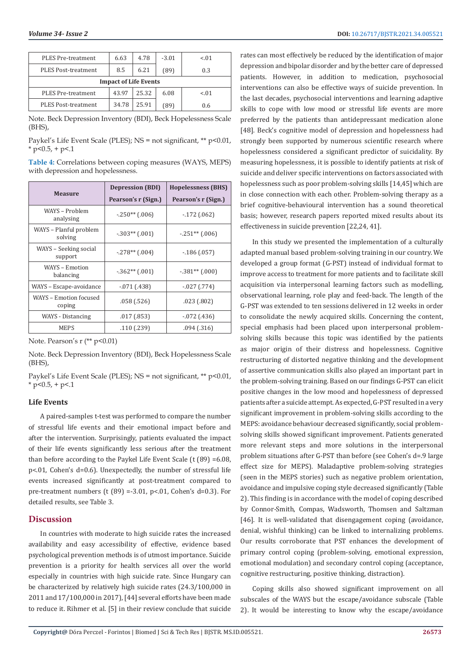| PLES Pre-treatment           | 6.63  | 4.78  | $-3.01$ | $-.01$ |
|------------------------------|-------|-------|---------|--------|
| <b>PLES Post-treatment</b>   | 8.5   | 6.21  | (89)    | 0.3    |
| <b>Impact of Life Events</b> |       |       |         |        |
| <b>PLES Pre-treatment</b>    | 43.97 | 25.32 | 6.08    | $-.01$ |
| <b>PLES Post-treatment</b>   | 34.78 | 25.91 | (89)    | 0.6    |

Note. Beck Depression Inventory (BDI), Beck Hopelessness Scale (BHS),

Paykel's Life Event Scale (PLES); NS = not significant, \*\* p<0.01,  $*$  p<0.5, + p<.1

**Table 4:** Correlations between coping measures (WAYS, MEPS) with depression and hopelessness.

| <b>Measure</b>                    | <b>Depression (BDI)</b> | <b>Hopelessness (BHS)</b> |  |
|-----------------------------------|-------------------------|---------------------------|--|
|                                   | Pearson's r (Sign.)     | Pearson's r (Sign.)       |  |
| WAYS – Problem<br>analysing       | $-.250**$ (.006)        | $-172(062)$               |  |
| WAYS - Planful problem<br>solving | $-.303**$ (.001)        | $-.251**$ (.006)          |  |
| WAYS - Seeking social<br>support  | $-.278**$ (.004)        | $-186(0.057)$             |  |
| WAYS – Emotion<br>balancing       | $-.362**$ (.001)        | $-.381**$ (.000)          |  |
| WAYS - Escape-avoidance           | $-071(0.438)$           | $-027(0.774)$             |  |
| WAYS - Emotion focused<br>coping  | .058(.526)              | .023(.802)                |  |
| WAYS - Distancing                 | .017(0.853)             | $-072(0.436)$             |  |
| <b>MEPS</b>                       | .110 (.239)             | .094(0.316)               |  |

Note. Pearson's r (\*\* p<0.01)

Note. Beck Depression Inventory (BDI), Beck Hopelessness Scale (BHS),

Paykel's Life Event Scale (PLES): NS = not significant, \*\* p<0.01,  $*$  p<0.5, + p<.1

### **Life Events**

A paired-samples t-test was performed to compare the number of stressful life events and their emotional impact before and after the intervention. Surprisingly, patients evaluated the impact of their life events significantly less serious after the treatment than before according to the Paykel Life Event Scale (t (89) =6.08, p<.01, Cohen's d=0.6). Unexpectedly, the number of stressful life events increased significantly at post-treatment compared to pre-treatment numbers (t  $(89) = 3.01$ ,  $p < 01$ , Cohen's d=0.3). For detailed results, see Table 3.

# **Discussion**

In countries with moderate to high suicide rates the increased availability and easy accessibility of effective, evidence based psychological prevention methods is of utmost importance. Suicide prevention is a priority for health services all over the world especially in countries with high suicide rate. Since Hungary can be characterized by relatively high suicide rates (24.3/100,000 in 2011 and 17/100,000 in 2017), [44] several efforts have been made to reduce it. Rihmer et al. [5] in their review conclude that suicide rates can most effectively be reduced by the identification of major depression and bipolar disorder and by the better care of depressed patients. However, in addition to medication, psychosocial interventions can also be effective ways of suicide prevention. In the last decades, psychosocial interventions and learning adaptive skills to cope with low mood or stressful life events are more preferred by the patients than antidepressant medication alone [48]. Beck's cognitive model of depression and hopelessness had strongly been supported by numerous scientific research where hopelessness considered a significant predictor of suicidality. By measuring hopelessness, it is possible to identify patients at risk of suicide and deliver specific interventions on factors associated with hopelessness such as poor problem-solving skills [14,45] which are in close connection with each other. Problem-solving therapy as a brief cognitive-behavioural intervention has a sound theoretical basis; however, research papers reported mixed results about its effectiveness in suicide prevention [22,24, 41].

In this study we presented the implementation of a culturally adapted manual based problem-solving training in our country. We developed a group format (G-PST) instead of individual format to improve access to treatment for more patients and to facilitate skill acquisition via interpersonal learning factors such as modelling, observational learning, role play and feed-back. The length of the G-PST was extended to ten sessions delivered in 12 weeks in order to consolidate the newly acquired skills. Concerning the content, special emphasis had been placed upon interpersonal problemsolving skills because this topic was identified by the patients as major origin of their distress and hopelessness. Cognitive restructuring of distorted negative thinking and the development of assertive communication skills also played an important part in the problem-solving training. Based on our findings G-PST can elicit positive changes in the low mood and hopelessness of depressed patients after a suicide attempt. As expected, G-PST resulted in a very significant improvement in problem-solving skills according to the MEPS: avoidance behaviour decreased significantly, social problemsolving skills showed significant improvement. Patients generated more relevant steps and more solutions in the interpersonal problem situations after G-PST than before (see Cohen's d=.9 large effect size for MEPS). Maladaptive problem-solving strategies (seen in the MEPS stories) such as negative problem orientation, avoidance and impulsive coping style decreased significantly (Table 2). This finding is in accordance with the model of coping described by Connor-Smith, Compas, Wadsworth, Thomsen and Saltzman [46]. It is well-validated that disengagement coping (avoidance, denial, wishful thinking) can be linked to internalizing problems. Our results corroborate that PST enhances the development of primary control coping (problem-solving, emotional expression, emotional modulation) and secondary control coping (acceptance, cognitive restructuring, positive thinking, distraction).

Coping skills also showed significant improvement on all subscales of the WAYS but the escape/avoidance subscale (Table 2). It would be interesting to know why the escape/avoidance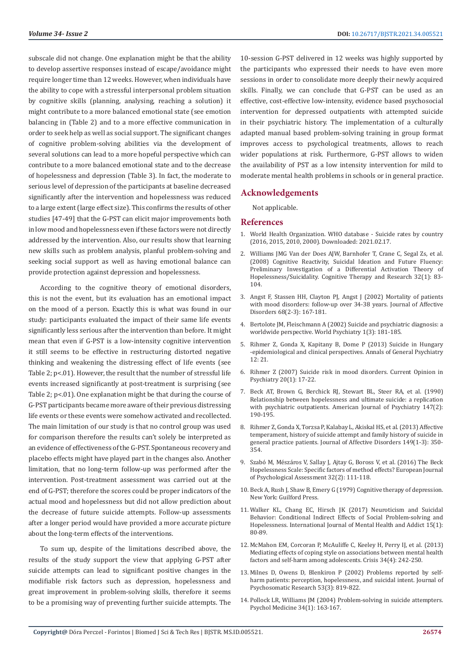subscale did not change. One explanation might be that the ability to develop assertive responses instead of escape/avoidance might require longer time than 12 weeks. However, when individuals have the ability to cope with a stressful interpersonal problem situation by cognitive skills (planning, analysing, reaching a solution) it might contribute to a more balanced emotional state (see emotion balancing in (Table 2) and to a more effective communication in order to seek help as well as social support. The significant changes of cognitive problem-solving abilities via the development of several solutions can lead to a more hopeful perspective which can contribute to a more balanced emotional state and to the decrease of hopelessness and depression (Table 3). In fact, the moderate to serious level of depression of the participants at baseline decreased significantly after the intervention and hopelessness was reduced to a large extent (large effect size). This confirms the results of other studies [47-49] that the G-PST can elicit major improvements both in low mood and hopelessness even if these factors were not directly addressed by the intervention. Also, our results show that learning new skills such as problem analysis, planful problem-solving and seeking social support as well as having emotional balance can provide protection against depression and hopelessness.

According to the cognitive theory of emotional disorders, this is not the event, but its evaluation has an emotional impact on the mood of a person. Exactly this is what was found in our study: participants evaluated the impact of their same life events significantly less serious after the intervention than before. It might mean that even if G-PST is a low-intensity cognitive intervention it still seems to be effective in restructuring distorted negative thinking and weakening the distressing effect of life events (see Table 2; p<.01). However, the result that the number of stressful life events increased significantly at post-treatment is surprising (see Table 2; p<.01). One explanation might be that during the course of G-PST participants became more aware of their previous distressing life events or these events were somehow activated and recollected. The main limitation of our study is that no control group was used for comparison therefore the results can't solely be interpreted as an evidence of effectiveness of the G-PST. Spontaneous recovery and placebo effects might have played part in the changes also. Another limitation, that no long-term follow-up was performed after the intervention. Post-treatment assessment was carried out at the end of G-PST; therefore the scores could be proper indicators of the actual mood and hopelessness but did not allow prediction about the decrease of future suicide attempts. Follow-up assessments after a longer period would have provided a more accurate picture about the long-term effects of the interventions.

To sum up, despite of the limitations described above, the results of the study support the view that applying G-PST after suicide attempts can lead to significant positive changes in the modifiable risk factors such as depression, hopelessness and great improvement in problem-solving skills, therefore it seems to be a promising way of preventing further suicide attempts. The

10-session G-PST delivered in 12 weeks was highly supported by the participants who expressed their needs to have even more sessions in order to consolidate more deeply their newly acquired skills. Finally, we can conclude that G-PST can be used as an effective, cost-effective low-intensity, evidence based psychosocial intervention for depressed outpatients with attempted suicide in their psychiatric history. The implementation of a culturally adapted manual based problem-solving training in group format improves access to psychological treatments, allows to reach wider populations at risk. Furthermore, G-PST allows to widen the availability of PST as a low intensity intervention for mild to moderate mental health problems in schools or in general practice.

#### **Acknowledgements**

Not applicable.

#### **References**

- 1. [World Health Organization. WHO database Suicide rates by country](https://apps.who.int/gho/data/view.main.MHSUICIDEASDRv?lang=en) [\(2016, 2015, 2010, 2000\). Downloaded: 2021.02.17.](https://apps.who.int/gho/data/view.main.MHSUICIDEASDRv?lang=en)
- 2. [Williams JMG Van der Does AJW, Barnhofer T, Crane C, Segal Zs, et al.](https://psycnet.apa.org/record/2008-04384-007) [\(2008\) Cognitive Reactivity, Suicidal Ideation and Future Fluency:](https://psycnet.apa.org/record/2008-04384-007) [Preliminary Investigation of a Differential Activation Theory of](https://psycnet.apa.org/record/2008-04384-007) [Hopelessness/Suicidality. Cognitive Therapy and Research 32\(1\): 83-](https://psycnet.apa.org/record/2008-04384-007) [104.](https://psycnet.apa.org/record/2008-04384-007)
- 3. [Angst F, Stassen HH, Clayton PJ, Angst J \(2002\) Mortality of patients](https://www.sciencedirect.com/science/article/abs/pii/S0165032701003779) [with mood disorders: follow-up over 34-38 years. Journal of Affective](https://www.sciencedirect.com/science/article/abs/pii/S0165032701003779) [Disorders 68\(2-3\): 167-181.](https://www.sciencedirect.com/science/article/abs/pii/S0165032701003779)
- 4. [Bertolote JM, Fleischmann A \(2002\) Suicide and psychiatric diagnosis: a](https://www.ncbi.nlm.nih.gov/pmc/articles/PMC1489848/) [worldwide perspective. World Psychiatry 1\(3\): 181-185.](https://www.ncbi.nlm.nih.gov/pmc/articles/PMC1489848/)
- 5. Rihmer Z, Gonda X, Kapitany B, Dome P (2013) Suicide in Hungary -epidemiological and clinical perspectives. Annals of General Psychiatry 12: 21.
- 6. [Rihmer Z \(2007\) Suicide risk in mood disorders. Current Opinion in](https://pubmed.ncbi.nlm.nih.gov/17143077/) [Psychiatry 20\(1\): 17-22.](https://pubmed.ncbi.nlm.nih.gov/17143077/)
- 7. [Beck AT, Brown G, Berchick RJ, Stewart BL, Steer RA, et al. \(1990\)](https://pubmed.ncbi.nlm.nih.gov/2278535/) [Relationship between hopelessness and ultimate suicide: a replication](https://pubmed.ncbi.nlm.nih.gov/2278535/) [with psychiatric outpatients. American Journal of Psychiatry 147\(2\):](https://pubmed.ncbi.nlm.nih.gov/2278535/) [190-195.](https://pubmed.ncbi.nlm.nih.gov/2278535/)
- 8. [Rihmer Z, Gonda X, Torzsa P, Kalabay L, Akiskal HS, et al. \(2013\) Affective](https://www.sciencedirect.com/science/article/abs/pii/S0165032713001638) [temperament, history of suicide attempt and family history of suicide in](https://www.sciencedirect.com/science/article/abs/pii/S0165032713001638) [general practice patients. Journal of Affective Disorders 149\(1-3\): 350-](https://www.sciencedirect.com/science/article/abs/pii/S0165032713001638) [354.](https://www.sciencedirect.com/science/article/abs/pii/S0165032713001638)
- 9. [Szabó M, Mészáros V, Sallay J, Ajtay G, Boross V, et al. \(2016\) The Beck](https://psycnet.apa.org/record/2015-09103-001) [Hopelessness Scale: Specific factors of method effects? European Journal](https://psycnet.apa.org/record/2015-09103-001) [of Psychological Assessment 32\(2\): 111-118.](https://psycnet.apa.org/record/2015-09103-001)
- 10. [Beck A, Rush J, Shaw B, Emery G \(1979\) Cognitive therapy of depression.](https://books.google.com/books/about/Cognitive_Therapy_of_Depression.html?id=L09cRS0xWj0C) [New York: Guilford Press.](https://books.google.com/books/about/Cognitive_Therapy_of_Depression.html?id=L09cRS0xWj0C)
- 11. [Walker KL, Chang EC, Hirsch JK \(2017\) Neuroticism and Suicidal](https://psycnet.apa.org/record/2016-16383-001) [Behavior: Conditional Indirect Effects of Social Problem-solving and](https://psycnet.apa.org/record/2016-16383-001) [Hopelessness. International Journal of Mental Health and Addict 15\(1\):](https://psycnet.apa.org/record/2016-16383-001) [80-89.](https://psycnet.apa.org/record/2016-16383-001)
- 12. [McMahon EM, Corcoran P, McAuliffe C, Keeley H, Perry IJ, et al. \(2013\)](https://pubmed.ncbi.nlm.nih.gov/23357219/) [Mediating effects of coping style on associations between mental health](https://pubmed.ncbi.nlm.nih.gov/23357219/) [factors and self-harm among adolescents. Crisis 34\(4\): 242-250.](https://pubmed.ncbi.nlm.nih.gov/23357219/)
- 13. [Milnes D, Owens D, Blenkiron P \(2002\) Problems reported by self](https://pubmed.ncbi.nlm.nih.gov/12217457/)[harm patients: perception, hopelessness, and suicidal intent. Journal of](https://pubmed.ncbi.nlm.nih.gov/12217457/) [Psychosomatic Research 53\(3\): 819-822.](https://pubmed.ncbi.nlm.nih.gov/12217457/)
- 14. [Pollock LR, Williams JM \(2004\) Problem-solving in suicide attempters.](https://www.cambridge.org/core/journals/psychological-medicine/article/abs/problemsolving-in-suicide-attempters/58450EE2E10063A9F5A81A6FDFDE477D) [Psychol Medicine 34\(1\): 163-167.](https://www.cambridge.org/core/journals/psychological-medicine/article/abs/problemsolving-in-suicide-attempters/58450EE2E10063A9F5A81A6FDFDE477D)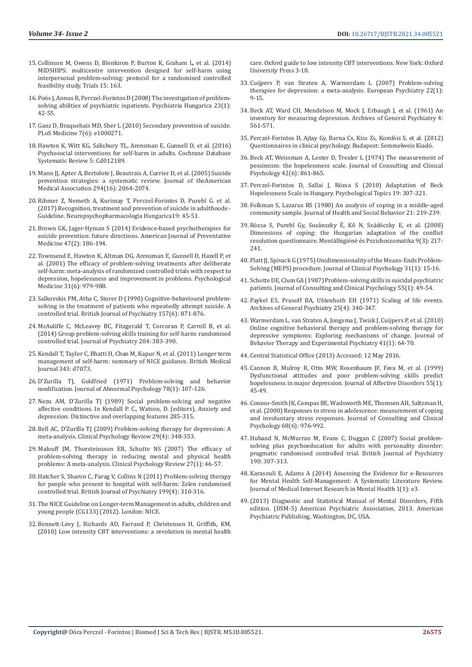- 15. [Collinson M, Owens D, Blenkiron P, Burton K, Graham L, et al. \(2014\)](https://trialsjournal.biomedcentral.com/articles/10.1186/1745-6215-15-163)  [MIDSHIPS: multicentre intervention designed for self-harm using](https://trialsjournal.biomedcentral.com/articles/10.1186/1745-6215-15-163)  [interpersonal problem-solving: protocol for a randomised controlled](https://trialsjournal.biomedcentral.com/articles/10.1186/1745-6215-15-163)  [feasibility study. Trials 15: 163.](https://trialsjournal.biomedcentral.com/articles/10.1186/1745-6215-15-163)
- 16. [Poós J, Annus R, Perczel-Forintos D \(2008\) The investigation of problem](https://pubmed.ncbi.nlm.nih.gov/18711228/)[solving abilities of psychiatric inpatients. Psychiatria Hungarica 23\(1\):](https://pubmed.ncbi.nlm.nih.gov/18711228/)  [42-55.](https://pubmed.ncbi.nlm.nih.gov/18711228/)
- 17. [Ganz D, Braquehais MD, Sher L \(2010\) Secondary prevention of suicide.](https://www.ncbi.nlm.nih.gov/pmc/articles/PMC2879412/)  [PLoS Medicine 7\(6\): e1000271.](https://www.ncbi.nlm.nih.gov/pmc/articles/PMC2879412/)
- 18. [Hawton K, Witt KG, Salisbury TL, Arensman E, Gunnell D, et al. \(2016\)](https://www.cochranelibrary.com/cdsr/doi/10.1002/14651858.CD012189/full)  [Psychosocial interventions for self-harm in adults. Cochrane Database](https://www.cochranelibrary.com/cdsr/doi/10.1002/14651858.CD012189/full)  [Systematic Review 5: Cd012189.](https://www.cochranelibrary.com/cdsr/doi/10.1002/14651858.CD012189/full)
- 19. [Mann JJ, Apter A, Bertolote J, Beautrais A, Currier D, et al. \(2005\) Suicide](https://pubmed.ncbi.nlm.nih.gov/16249421/)  [prevention strategies: a systematic review. Journal of theAmerican](https://pubmed.ncbi.nlm.nih.gov/16249421/)  [Medical Association 294\(16\): 2064-2074.](https://pubmed.ncbi.nlm.nih.gov/16249421/)
- 20. [Rihmer Z, Nemeth A, Kurimay T, Perczel-Forintos D, Purebl G. et al.](https://www.researchgate.net/publication/332268035_Recognition_treatment_and_prevention_of_suicide_in_adulthoode_-_Guideline)  [\(2017\) Recognition, treatment and prevention of suicide in adulthoode -](https://www.researchgate.net/publication/332268035_Recognition_treatment_and_prevention_of_suicide_in_adulthoode_-_Guideline)  [Guideline. Neuropsychopharmacologia Hungarica19: 45-51.](https://www.researchgate.net/publication/332268035_Recognition_treatment_and_prevention_of_suicide_in_adulthoode_-_Guideline)
- 21. [Brown GK, Jager-Hyman S \(2014\) Evidence-based psychotherapies for](https://pubmed.ncbi.nlm.nih.gov/25145738/)  [suicide prevention: future directions. American Journal of Preventative](https://pubmed.ncbi.nlm.nih.gov/25145738/)  [Medicine 47\(2\): 186-194.](https://pubmed.ncbi.nlm.nih.gov/25145738/)
- 22. [Townsend E, Hawton K, Altman DG, Arensman E, Gunnell D, Hazell P, et](https://pubmed.ncbi.nlm.nih.gov/11513383/)  [al. \(2001\) The efficacy of problem-solving treatments after deliberate](https://pubmed.ncbi.nlm.nih.gov/11513383/)  [self-harm: meta-analysis of randomized controlled trials with respect to](https://pubmed.ncbi.nlm.nih.gov/11513383/)  [depression, hopelessness and improvement in problems. Psychological](https://pubmed.ncbi.nlm.nih.gov/11513383/)  [Medicine 31\(6\): 979-988.](https://pubmed.ncbi.nlm.nih.gov/11513383/)
- 23. [Salkovskis PM, Atha C, Storer D \(1990\) Cognitive-behavioural problem](https://www.cambridge.org/core/journals/the-british-journal-of-psychiatry/article/abs/cognitivebehavioural-problem-solving-in-the-treatment-of-patients-who-repeatedly-attempt-suicide-a-controlled-trial/5FB713C03E422CEEB044DD266E9FE4C4)[solving in the treatment of patients who repeatedly attempt suicide. A](https://www.cambridge.org/core/journals/the-british-journal-of-psychiatry/article/abs/cognitivebehavioural-problem-solving-in-the-treatment-of-patients-who-repeatedly-attempt-suicide-a-controlled-trial/5FB713C03E422CEEB044DD266E9FE4C4)  [controlled trial. British Journal of Psychiatry 157\(6\): 871-876.](https://www.cambridge.org/core/journals/the-british-journal-of-psychiatry/article/abs/cognitivebehavioural-problem-solving-in-the-treatment-of-patients-who-repeatedly-attempt-suicide-a-controlled-trial/5FB713C03E422CEEB044DD266E9FE4C4)
- 24. [McAuliffe C, McLeavey BC, Fitzgerald T, Corcoran P, Carroll B, et al.](https://pubmed.ncbi.nlm.nih.gov/24434070/)  [\(2014\) Group problem-solving skills training for self-harm: randomised](https://pubmed.ncbi.nlm.nih.gov/24434070/)  [controlled trial. Journal of Psychiatry 204: 383-390.](https://pubmed.ncbi.nlm.nih.gov/24434070/)
- 25. [Kendall T, Taylor C, Bhatti H, Chan M, Kapur N, et al. \(2011\) Longer term](https://pubmed.ncbi.nlm.nih.gov/22113565/)  [management of self-harm: summary of NICE guidance. British Medical](https://pubmed.ncbi.nlm.nih.gov/22113565/)  [Journal 343: d7073.](https://pubmed.ncbi.nlm.nih.gov/22113565/)
- 26. [D'Zurilla TJ, Goldfried \(1971\) Problem-solving and behavior](https://pubmed.ncbi.nlm.nih.gov/4938262/)  [modification. Journal of Abnormal Psychology 78\(1\): 107-126.](https://pubmed.ncbi.nlm.nih.gov/4938262/)
- 27. [Nezu AM, D'Zurilla TJ \(1989\) Social problem-solving and negative](https://psycnet.apa.org/record/1989-97948-010)  [affective conditions. In Kendall P. C., Watson, D. \(editors\), Anxiety and](https://psycnet.apa.org/record/1989-97948-010)  [depression: Distinctive and overlapping features 285-315.](https://psycnet.apa.org/record/1989-97948-010)
- 28. [Bell AC, D'Zurilla TJ \(2009\) Problem-solving therapy for depression: A](https://pubmed.ncbi.nlm.nih.gov/19299058/)  [meta-analysis. Clinical Psychology Review 29\(4\): 348-353.](https://pubmed.ncbi.nlm.nih.gov/19299058/)
- 29. [Malouff JM, Thorsteinsson EB, Schutte NS \(2007\) The efficacy of](https://pubmed.ncbi.nlm.nih.gov/16480801/)  [problem-solving therapy in reducing mental and physical health](https://pubmed.ncbi.nlm.nih.gov/16480801/)  [problems: A meta-analysis. Clinical Psychology Review 27\(1\): 46-57.](https://pubmed.ncbi.nlm.nih.gov/16480801/)
- 30. [Hatcher S, Sharon C, Parag V, Collins N \(2011\) Problem-solving therapy](https://pubmed.ncbi.nlm.nih.gov/21816868/)  [for people who present to hospital with self-harm: Zelen randomised](https://pubmed.ncbi.nlm.nih.gov/21816868/)  [controlled trial. British Journal of Psychiatry 199\(4\): 310-316.](https://pubmed.ncbi.nlm.nih.gov/21816868/)
- 31. The NICE Guideline on Longer-term Management in adults, children and young people (CG133) (2012). London: NICE.
- 32. [Bennett-Levy J, Richards AD, Farrand P, Christensen H, Griffith, KM,](file:///C:/Users/Lupine/Desktop/work%20from%20home/Biomed/pdf/26-2-2021/Proofs_26.02.2021/BJSTR.MS.ID.005519/BJSTR-E-21-RA-133_W/Christensen%20H.,%20Griffith,%20K.%20M.,)  [\(2010\) Low intensity CBT interventions: a revolution in mental health](file:///C:/Users/Lupine/Desktop/work%20from%20home/Biomed/pdf/26-2-2021/Proofs_26.02.2021/BJSTR.MS.ID.005519/BJSTR-E-21-RA-133_W/Christensen%20H.,%20Griffith,%20K.%20M.,)

[care. Oxford guide to low intensity CBT interventions. New York: Oxford](file:///C:/Users/Lupine/Desktop/work%20from%20home/Biomed/pdf/26-2-2021/Proofs_26.02.2021/BJSTR.MS.ID.005519/BJSTR-E-21-RA-133_W/Christensen%20H.,%20Griffith,%20K.%20M.,) [University Press 3-18.](file:///C:/Users/Lupine/Desktop/work%20from%20home/Biomed/pdf/26-2-2021/Proofs_26.02.2021/BJSTR.MS.ID.005519/BJSTR-E-21-RA-133_W/Christensen%20H.,%20Griffith,%20K.%20M.,)

- 33. [Cuijpers P, van Straten A, Warmerdam L \(2007\) Problem-solving](https://pubmed.ncbi.nlm.nih.gov/17194572/) [therapies for depression: a meta-analysis. European Psychiatry 22\(1\):](https://pubmed.ncbi.nlm.nih.gov/17194572/) [9-15.](https://pubmed.ncbi.nlm.nih.gov/17194572/)
- 34. [Beck AT, Ward CH, Mendelson M, Mock J, Erbaugh J, et al. \(1961\) An](https://pubmed.ncbi.nlm.nih.gov/13688369/) [inventory for measuring depression. Archives of General Psychiatry 4:](https://pubmed.ncbi.nlm.nih.gov/13688369/) [561-571.](https://pubmed.ncbi.nlm.nih.gov/13688369/)
- 35. Perczel-Forintos D, Ajtay Gy, Barna Cs, Kiss Zs, Komlósi S, et al. (2012) Questionnaires in clinical psychology. Budapest: Semmelweis Kiadó.
- 36. [Beck AT, Weissman A, Lester D, Trexler L \(1974\) The measurement of](https://pubmed.ncbi.nlm.nih.gov/4436473/) [pessimism: the hopelessness scale. Journal of Consulting and Clinical](https://pubmed.ncbi.nlm.nih.gov/4436473/) [Psychology 42\(6\): 861-865.](https://pubmed.ncbi.nlm.nih.gov/4436473/)
- 37. [Perczel-Forintos D, Sallai J, Rózsa S \(2010\) Adaptation of Beck](https://www.researchgate.net/profile/Sandor_Rozsa2/publication/50252257_Adaptation_of_the_Beck_Hopelessness_Scale_in_Hungary/links/553e74040cf294deef71714a/Adaptation-of-the-Beck-Hopelessness-Scale-in-Hungary.pdf) [Hopelessness Scale in Hungary. Psychological Topics 19: 307-321.](https://www.researchgate.net/profile/Sandor_Rozsa2/publication/50252257_Adaptation_of_the_Beck_Hopelessness_Scale_in_Hungary/links/553e74040cf294deef71714a/Adaptation-of-the-Beck-Hopelessness-Scale-in-Hungary.pdf)
- 38. [Folkman S, Lazarus RS \(1980\) An analysis of coping in a middle-aged](https://www.jstor.org/stable/2136617) [community sample. Journal of Health and Social Behavior 21: 219-239.](https://www.jstor.org/stable/2136617)
- 39. Ró[zsa S, Purebl Gy, Susánszky É, Kő N, Szádóczky E, et al. \(2008\)](https://akjournals.com/view/journals/0406/9/3/article-p217.xml) [Dimensions of coping: the Hungarian adaptation of the conflict](https://akjournals.com/view/journals/0406/9/3/article-p217.xml) [resolution questionnaire. Mentálhigiéné és Pszichoszomatika 9\(3\): 217-](https://akjournals.com/view/journals/0406/9/3/article-p217.xml) [241.](https://akjournals.com/view/journals/0406/9/3/article-p217.xml)
- 40. Platt II, Spivack G (1975) Unidimensionality of the Means-Ends Problem-[Solving \(MEPS\) procedure. Journal of Clinical Psychology 31\(1\): 15-16.](https://pubmed.ncbi.nlm.nih.gov/1112893/)
- 41. [Schotte DE, Clum GA \(1987\) Problem-solving skills in suicidal psychiatric](https://pubmed.ncbi.nlm.nih.gov/3571658/) [patients. Journal of Consulting and Clinical Psychology 55\(1\): 49-54.](https://pubmed.ncbi.nlm.nih.gov/3571658/)
- 42. [Paykel ES, Prusoff BA, Uhlenhuth EH \(1971\) Scaling of life events.](https://jamanetwork.com/journals/jamapsychiatry/article-abstract/490526) [Archives of General Psychiatry 25\(4\): 340-347.](https://jamanetwork.com/journals/jamapsychiatry/article-abstract/490526)
- 43. [Warmerdam L, van Straten A, Jongsma J, Twisk J, Cuijpers P, et al. \(2010\)](https://pubmed.ncbi.nlm.nih.gov/19913781/) [Online cognitive behavioral therapy and problem-solving therapy for](https://pubmed.ncbi.nlm.nih.gov/19913781/) [depressive symptoms: Exploring mechanisms of change. Journal of](https://pubmed.ncbi.nlm.nih.gov/19913781/) [Behavior Therapy and Experimental Psychiatry 41\(1\): 64-70.](https://pubmed.ncbi.nlm.nih.gov/19913781/)
- 44. [Central Statistical Office \(2013\) Accessed: 12 May 2016.](https://www.cso.ie/en/releasesandpublications/ep/p-vsar/vsar2013/deaths2013/)
- 45. [Cannon B, Mulroy R, Otto MW, Rosenbaum JF, Fava M, et al. \(1999\)](https://pubmed.ncbi.nlm.nih.gov/10512605/) [Dysfunctional attitudes and poor problem-solving skills predict](https://pubmed.ncbi.nlm.nih.gov/10512605/) [hopelessness in major depression. Journal of Affective Disorders 55\(1\):](https://pubmed.ncbi.nlm.nih.gov/10512605/) [45-49.](https://pubmed.ncbi.nlm.nih.gov/10512605/)
- 46. [Connor-Smith JK, Compas BE, Wadsworth ME, Thomsen AH, Saltzman H,](https://pubmed.ncbi.nlm.nih.gov/11142550/) [et al. \(2000\) Responses to stress in adolescence: measurement of coping](https://pubmed.ncbi.nlm.nih.gov/11142550/) [and involuntary stress responses. Journal of Consulting and Clinical](https://pubmed.ncbi.nlm.nih.gov/11142550/) [Psychology 68\(6\): 976-992.](https://pubmed.ncbi.nlm.nih.gov/11142550/)
- 47. [Huband N, McMurran M, Evans C, Duggan C \(2007\) Social problem](https://pubmed.ncbi.nlm.nih.gov/17401036/)[solving plus psychoeducation for adults with personality disorder:](https://pubmed.ncbi.nlm.nih.gov/17401036/) [pragmatic randomised controlled trial. British Journal of Psychiatry](https://pubmed.ncbi.nlm.nih.gov/17401036/) [190: 307-313.](https://pubmed.ncbi.nlm.nih.gov/17401036/)
- 48. [Karasouli E, Adams A \(2014\) Assessing the Evidence for e-Resources](https://pubmed.ncbi.nlm.nih.gov/26543903/) [for Mental Health Self-Management: A Systematic Literature Review.](https://pubmed.ncbi.nlm.nih.gov/26543903/) [Journal of Medical Internet Research in Mental Health 1\(1\): e3.](https://pubmed.ncbi.nlm.nih.gov/26543903/)
- 49.(2013) Diagnostic and Statistical Manual of Mental Disorders, Fifth edition. (DSM-5) American Psychiatric Association, 2013. American Psychiatric Publishing, Washington, DC, USA.